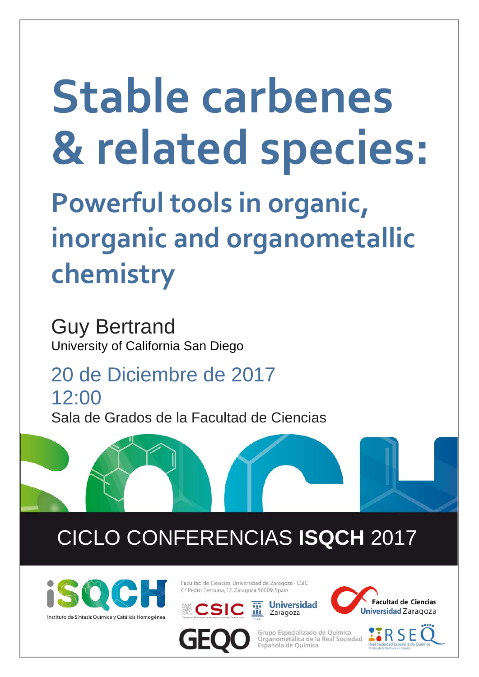## **Stable carbenes & related species:**

**Powerful tools in organic, inorganic and organometallic chemistry**

Guy Bertrand University of California San Diego

20 de Diciembre de 2017 12:00 Sala de Grados de la Facultad de Ciencias

## CICLO CONFERENCIAS **ISQCH** 2017



Facultad de Ciencias, Universidad de Zaragoza - CSIC C/ Pedro Cerbuna, 12, Zaragoza 50009, Spain









Grupo Especializado de Ouímica Organometálica de la Real Sociedad Española de Química